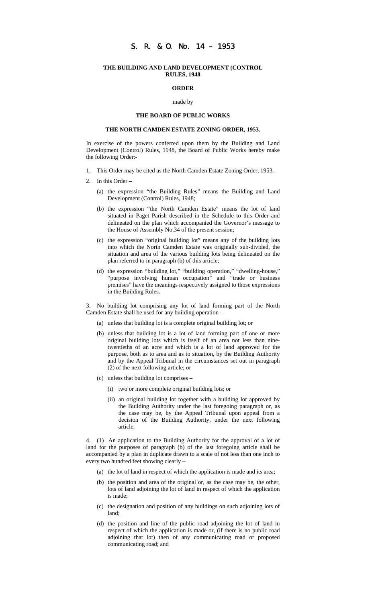# S. R. & O. No. 14 – 1953

#### **THE BUILDING AND LAND DEVELOPMENT (CONTROL RULES, 1948**

### **ORDER**

#### made by

## **THE BOARD OF PUBLIC WORKS**

## **THE NORTH CAMDEN ESTATE ZONING ORDER, 1953.**

In exercise of the powers conferred upon them by the Building and Land Development (Control) Rules, 1948, the Board of Public Works hereby make the following Order:-

- 1. This Order may be cited as the North Camden Estate Zoning Order, 1953.
- 2. In this Order
	- (a) the expression "the Building Rules" means the Building and Land Development (Control) Rules, 1948;
	- (b) the expression "the North Camden Estate" means the lot of land situated in Paget Parish described in the Schedule to this Order and delineated on the plan which accompanied the Governor's message to the House of Assembly No.34 of the present session;
	- (c) the expression "original building lot" means any of the building lots into which the North Camden Estate was originally sub-divided, the situation and area of the various building lots being delineated on the plan referred to in paragraph (b) of this article;
	- (d) the expression "building lot," "building operation," "dwelling-house," "purpose involving human occupation" and "trade or business premises" have the meanings respectively assigned to those expressions in the Building Rules.

3. No building lot comprising any lot of land forming part of the North Camden Estate shall be used for any building operation –

- (a) unless that building lot is a complete original building lot; or
- (b) unless that building lot is a lot of land forming part of one or more original building lots which is itself of an area not less than ninetwentieths of an acre and which is a lot of land approved for the purpose, both as to area and as to situation, by the Building Authority and by the Appeal Tribunal in the circumstances set out in paragraph (2) of the next following article; or
- (c) unless that building lot comprises
	- (i) two or more complete original building lots; or
	- (ii) an original building lot together with a building lot approved by the Building Authority under the last foregoing paragraph or, as the case may be, by the Appeal Tribunal upon appeal from a decision of the Building Authority, under the next following article.

4. (1) An application to the Building Authority for the approval of a lot of land for the purposes of paragraph (b) of the last foregoing article shall be accompanied by a plan in duplicate drawn to a scale of not less than one inch to every two hundred feet showing clearly –

- (a) the lot of land in respect of which the application is made and its area;
- (b) the position and area of the original or, as the case may be, the other, lots of land adjoining the lot of land in respect of which the application is made;
- (c) the designation and position of any buildings on such adjoining lots of land;
- (d) the position and line of the public road adjoining the lot of land in respect of which the application is made or, (if there is no public road adjoining that lot) then of any communicating road or proposed communicating road; and